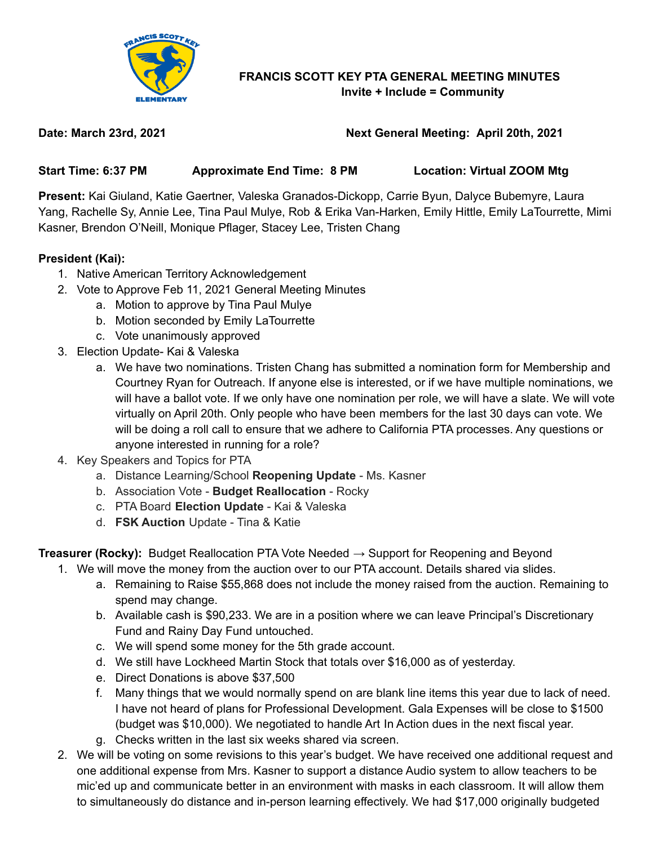

## **FRANCIS SCOTT KEY PTA GENERAL MEETING MINUTES Invite + Include = Community**

# **Date: March 23rd, 2021 Next General Meeting: April 20th, 2021**

**Start Time: 6:37 PM Approximate End Time: 8 PM Location: Virtual ZOOM Mtg**

**Present:** Kai Giuland, Katie Gaertner, Valeska Granados-Dickopp, Carrie Byun, Dalyce Bubemyre, Laura Yang, Rachelle Sy, Annie Lee, Tina Paul Mulye, Rob & Erika Van-Harken, Emily Hittle, Emily LaTourrette, Mimi Kasner, Brendon O'Neill, Monique Pflager, Stacey Lee, Tristen Chang

## **President (Kai):**

- 1. Native American Territory Acknowledgement
- 2. Vote to Approve Feb 11, 2021 General Meeting Minutes
	- a. Motion to approve by Tina Paul Mulye
	- b. Motion seconded by Emily LaTourrette
	- c. Vote unanimously approved
- 3. Election Update- Kai & Valeska
	- a. We have two nominations. Tristen Chang has submitted a nomination form for Membership and Courtney Ryan for Outreach. If anyone else is interested, or if we have multiple nominations, we will have a ballot vote. If we only have one nomination per role, we will have a slate. We will vote virtually on April 20th. Only people who have been members for the last 30 days can vote. We will be doing a roll call to ensure that we adhere to California PTA processes. Any questions or anyone interested in running for a role?
- 4. Key Speakers and Topics for PTA
	- a. Distance Learning/School **Reopening Update** Ms. Kasner
	- b. Association Vote **Budget Reallocation** Rocky
	- c. PTA Board **Election Update** Kai & Valeska
	- d. **FSK Auction** Update Tina & Katie

**Treasurer (Rocky):** Budget Reallocation PTA Vote Needed → Support for Reopening and Beyond

- 1. We will move the money from the auction over to our PTA account. Details shared via slides.
	- a. Remaining to Raise \$55,868 does not include the money raised from the auction. Remaining to spend may change.
	- b. Available cash is \$90,233. We are in a position where we can leave Principal's Discretionary Fund and Rainy Day Fund untouched.
	- c. We will spend some money for the 5th grade account.
	- d. We still have Lockheed Martin Stock that totals over \$16,000 as of yesterday.
	- e. Direct Donations is above \$37,500
	- f. Many things that we would normally spend on are blank line items this year due to lack of need. I have not heard of plans for Professional Development. Gala Expenses will be close to \$1500 (budget was \$10,000). We negotiated to handle Art In Action dues in the next fiscal year.
	- g. Checks written in the last six weeks shared via screen.
- 2. We will be voting on some revisions to this year's budget. We have received one additional request and one additional expense from Mrs. Kasner to support a distance Audio system to allow teachers to be mic'ed up and communicate better in an environment with masks in each classroom. It will allow them to simultaneously do distance and in-person learning effectively. We had \$17,000 originally budgeted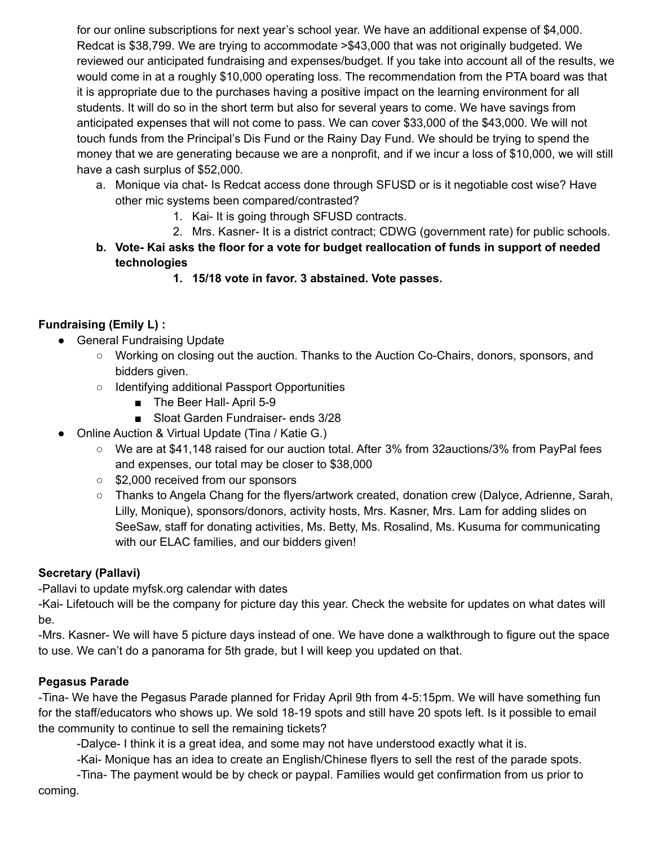for our online subscriptions for next year's school year. We have an additional expense of \$4,000. Redcat is \$38,799. We are trying to accommodate >\$43,000 that was not originally budgeted. We reviewed our anticipated fundraising and expenses/budget. If you take into account all of the results, we would come in at a roughly \$10,000 operating loss. The recommendation from the PTA board was that it is appropriate due to the purchases having a positive impact on the learning environment for all students. It will do so in the short term but also for several years to come. We have savings from anticipated expenses that will not come to pass. We can cover \$33,000 of the \$43,000. We will not touch funds from the Principal's Dis Fund or the Rainy Day Fund. We should be trying to spend the money that we are generating because we are a nonprofit, and if we incur a loss of \$10,000, we will still have a cash surplus of \$52,000.

- a. Monique via chat- Is Redcat access done through SFUSD or is it negotiable cost wise? Have other mic systems been compared/contrasted?
	- 1. Kai- It is going through SFUSD contracts.
	- 2. Mrs. Kasner- It is a district contract; CDWG (government rate) for public schools.
- **b. Vote- Kai asks the floor for a vote for budget reallocation of funds in support of needed technologies**
	- **1. 15/18 vote in favor. 3 abstained. Vote passes.**

## **Fundraising (Emily L) :**

- General Fundraising Update
	- Working on closing out the auction. Thanks to the Auction Co-Chairs, donors, sponsors, and bidders given.
	- Identifying additional Passport Opportunities
		- The Beer Hall- April 5-9
		- Sloat Garden Fundraiser- ends 3/28
- Online Auction & Virtual Update (Tina / Katie G.)
	- We are at \$41,148 raised for our auction total. After 3% from 32auctions/3% from PayPal fees and expenses, our total may be closer to \$38,000
	- \$2,000 received from our sponsors
	- Thanks to Angela Chang for the flyers/artwork created, donation crew (Dalyce, Adrienne, Sarah, Lilly, Monique), sponsors/donors, activity hosts, Mrs. Kasner, Mrs. Lam for adding slides on SeeSaw, staff for donating activities, Ms. Betty, Ms. Rosalind, Ms. Kusuma for communicating with our ELAC families, and our bidders given!

## **Secretary (Pallavi)**

-Pallavi to update myfsk.org calendar with dates

-Kai- Lifetouch will be the company for picture day this year. Check the website for updates on what dates will be.

-Mrs. Kasner- We will have 5 picture days instead of one. We have done a walkthrough to figure out the space to use. We can't do a panorama for 5th grade, but I will keep you updated on that.

## **Pegasus Parade**

-Tina- We have the Pegasus Parade planned for Friday April 9th from 4-5:15pm. We will have something fun for the staff/educators who shows up. We sold 18-19 spots and still have 20 spots left. Is it possible to email the community to continue to sell the remaining tickets?

-Dalyce- I think it is a great idea, and some may not have understood exactly what it is.

-Kai- Monique has an idea to create an English/Chinese flyers to sell the rest of the parade spots.

-Tina- The payment would be by check or paypal. Families would get confirmation from us prior to coming.